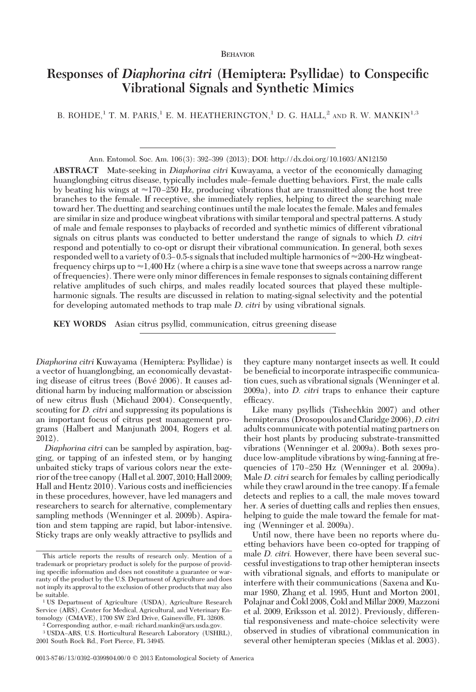## BEHAVIOR

# **Responses of** *Diaphorina citri* **(Hemiptera: Psyllidae) to Conspecific Vibrational Signals and Synthetic Mimics**

B. ROHDE,<sup>1</sup> T. M. PARIS,<sup>1</sup> E. M. HEATHERINGTON,<sup>1</sup> D. G. HALL,<sup>2</sup> AND R. W. MANKIN<sup>1,3</sup>

huanglongbing citrus disease, typically includes male-female duetting behaviors. First, the male calls by beating his wings at  $\approx$  170-250 Hz, producing vibrations that are transmitted along the host tree branches to the female. If receptive, she immediately replies, helping to direct the searching male toward her. The duetting and searching continues until the male locates the female. Males and females are similar in size and produce wingbeat vibrations with similar temporal and spectral patterns. A study of male and female responses to playbacks of recorded and synthetic mimics of different vibrational signals on citrus plants was conducted to better understand the range of signals to which *D*. *citri* respond and potentially to co-opt or disrupt their vibrational communication. In general, both sexes responded well to a variety of 0.3–0.5-s signals that included multiple harmonics of  $\approx$ 200-Hz wingbeatfrequency chirps up to  $\approx$  1,400 Hz (where a chirp is a sine wave tone that sweeps across a narrow range of frequencies). There were only minor differences in female responses to signals containing different relative amplitudes of such chirps, and males readily located sources that played these multipleharmonic signals. The results are discussed in relation to mating-signal selectivity and the potential for developing automated methods to trap male *D*. *citri* by using vibrational signals.

**KEY WORDS** Asian citrus psyllid, communication, citrus greening disease

*Diaphorina citri* Kuwayama (Hemiptera: Psyllidae) is a vector of huanglongbing, an economically devastating disease of citrus trees (Bove´ 2006). It causes additional harm by inducing malformation or abscission of new citrus ßush (Michaud 2004). Consequently, scouting for *D. citri* and suppressing its populations is an important focus of citrus pest management programs (Halbert and Manjunath 2004, Rogers et al. 2012).

*Diaphorina citri* can be sampled by aspiration, bagging, or tapping of an infested stem, or by hanging unbaited sticky traps of various colors near the exterior of the tree canopy (Hall et al. 2007, 2010; Hall 2009; Hall and Hentz 2010). Various costs and inefficiencies in these procedures, however, have led managers and researchers to search for alternative, complementary sampling methods (Wenninger et al. 2009b). Aspiration and stem tapping are rapid, but labor-intensive. Sticky traps are only weakly attractive to psyllids and

they capture many nontarget insects as well. It could be beneficial to incorporate intraspecific communication cues, such as vibrational signals (Wenninger et al. 2009a), into *D. citri* traps to enhance their capture efficacy.

Like many psyllids (Tishechkin 2007) and other hemipterans (Drosopoulos and Claridge 2006),*D. citri* adults communicate with potential mating partners on their host plants by producing substrate-transmitted vibrations (Wenninger et al. 2009a). Both sexes produce low-amplitude vibrations by wing-fanning at frequencies of 170-250 Hz (Wenninger et al. 2009a). Male *D. citri* search for females by calling periodically while they crawl around in the tree canopy. If a female detects and replies to a call, the male moves toward her. A series of duetting calls and replies then ensues, helping to guide the male toward the female for mating (Wenninger et al. 2009a).

Until now, there have been no reports where duetting behaviors have been co-opted for trapping of male *D. citri.* However, there have been several successful investigations to trap other hemipteran insects with vibrational signals, and efforts to manipulate or interfere with their communications (Saxena and Kumar 1980, Zhang et al. 1995, Hunt and Morton 2001, Polajnar and Čokl 2008, Čokl and Millar 2009, Mazzoni et al. 2009, Eriksson et al. 2012). Previously, differential responsiveness and mate-choice selectivity were observed in studies of vibrational communication in several other hemipteran species (Miklas et al. 2003).

Ann. Entomol. Soc. Am. 106(3): 392–399 (2013); DOI: http://dx.doi.org/10.1603/AN12150 **ABSTRACT** Mate-seeking in *Diaphorina citri* Kuwayama, a vector of the economically damaging

This article reports the results of research only. Mention of a trademark or proprietary product is solely for the purpose of providing specific information and does not constitute a guarantee or warranty of the product by the U.S. Department of Agriculture and does not imply its approval to the exclusion of other products that may also be suitable.

<sup>1</sup> US Department of Agriculture (USDA), Agriculture Research Service (ARS), Center for Medical, Agricultural, and Veterinary Entomology (CMAVE), 1700 SW 23rd Drive, Gainesville, FL 32608.

<sup>2</sup> Corresponding author, e-mail: richard.mankin@ars.usda.gov.

<sup>&</sup>lt;sup>3</sup> USDA-ARS, U.S. Horticultural Research Laboratory (USHRL), 2001 South Rock Rd., Fort Pierce, FL 34945.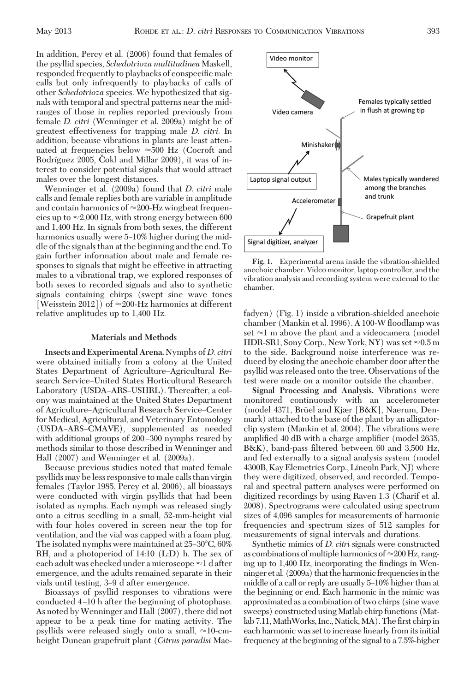In addition, Percy et al. (2006) found that females of the psyllid species, *Schedotrioza multitudinea* Maskell, responded frequently to playbacks of conspecific male calls but only infrequently to playbacks of calls of other *Schedotrioza* species. We hypothesized that signals with temporal and spectral patterns near the midranges of those in replies reported previously from female *D. citri* (Wenninger et al. 2009a) might be of greatest effectiveness for trapping male *D. citri.* In addition, because vibrations in plants are least attenuated at frequencies below  $\approx 500$  Hz (Cocroft and Rodríguez 2005, Čokl and Millar 2009), it was of interest to consider potential signals that would attract males over the longest distances.

Wenninger et al. (2009a) found that *D. citri* male calls and female replies both are variable in amplitude and contain harmonics of  $\approx$  200-Hz wingbeat frequencies up to  $\approx$  2,000 Hz, with strong energy between 600 and 1,400 Hz. In signals from both sexes, the different harmonics usually were 5–10% higher during the middle of the signals than at the beginning and the end. To gain further information about male and female responses to signals that might be effective in attracting males to a vibrational trap, we explored responses of both sexes to recorded signals and also to synthetic signals containing chirps (swept sine wave tones [Weisstein 2012]) of  $\approx$  200-Hz harmonics at different relative amplitudes up to 1,400 Hz.

### **Materials and Methods**

**Insects and Experimental Arena.** Nymphs of *D. citri* were obtained initially from a colony at the United States Department of Agriculture–Agricultural Research Service-United States Horticultural Research Laboratory (USDA-ARS-USHRL). Thereafter, a colony was maintained at the United States Department of Agriculture-Agricultural Research Service-Center for Medical, Agricultural, and Veterinary Entomology (USDA-ARS-CMAVE), supplemented as needed with additional groups of 200-300 nymphs reared by methods similar to those described in Wenninger and Hall (2007) and Wenninger et al. (2009a).

Because previous studies noted that mated female psyllids may be less responsive to male calls than virgin females (Taylor 1985, Percy et al. 2006), all bioassays were conducted with virgin psyllids that had been isolated as nymphs. Each nymph was released singly onto a citrus seedling in a small, 52-mm-height vial with four holes covered in screen near the top for ventilation, and the vial was capped with a foam plug. The isolated nymphs were maintained at  $25\text{--}30^{\circ}\text{C}$ ,  $60\%$ RH, and a photoperiod of 14:10 (L:D) h. The sex of each adult was checked under a microscope  $\approx$  1 d after emergence, and the adults remained separate in their vials until testing, 3–9 d after emergence.

Bioassays of psyllid responses to vibrations were conducted 4–10 h after the beginning of photophase. As noted by Wenninger and Hall (2007), there did not appear to be a peak time for mating activity. The psyllids were released singly onto a small,  $\approx 10$ -cmheight Duncan grapefruit plant (*Citrus paradisi* Mac-



**Fig. 1.** Experimental arena inside the vibration-shielded anechoic chamber. Video monitor, laptop controller, and the vibration analysis and recording system were external to the chamber.

fadyen) (Fig. 1) inside a vibration-shielded anechoic chamber (Mankin et al. 1996). A 100-W ßoodlamp was set  $\approx$ 1 m above the plant and a videocamera (model HDR-SR1, Sony Corp., New York, NY) was set  $\approx 0.5$  m to the side. Background noise interference was reduced by closing the anechoic chamber door after the psyllid was released onto the tree. Observations of the test were made on a monitor outside the chamber.

**Signal Processing and Analysis.** Vibrations were monitored continuously with an accelerometer (model 4371, Brüel and Kjær [B&K], Naerum, Denmark) attached to the base of the plant by an alligatorclip system (Mankin et al. 2004). The vibrations were amplified 40 dB with a charge amplifier (model 2635, B&K), band-pass filtered between 60 and 3,500 Hz, and fed externally to a signal analysis system (model 4300B, Kay Elemetrics Corp., Lincoln Park, NJ) where they were digitized, observed, and recorded. Temporal and spectral pattern analyses were performed on digitized recordings by using Raven 1.3 (Charif et al. 2008). Spectrograms were calculated using spectrum sizes of 4,096 samples for measurements of harmonic frequencies and spectrum sizes of 512 samples for measurements of signal intervals and durations.

Synthetic mimics of *D. citri* signals were constructed as combinations of multiple harmonics of  $\approx$ 200 Hz, ranging up to  $1,400$  Hz, incorporating the findings in Wenninger et al. (2009a) that the harmonic frequencies in the middle of a call or reply are usually 5-10% higher than at the beginning or end. Each harmonic in the mimic was approximated as a combination of two chirps (sine wave sweeps) constructed using Matlab chirp functions (Matlab 7.11, MathWorks, Inc., Natick, MA). The first chirp in each harmonic was set to increase linearly from its initial frequency at the beginning of the signal to a 7.5%-higher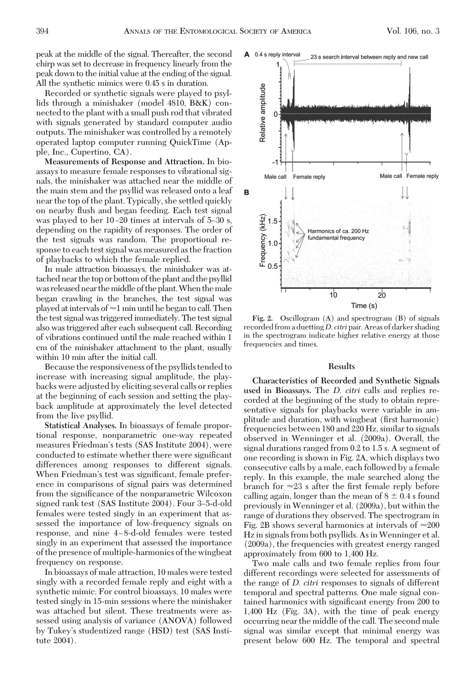Recorded or synthetic signals were played to psyllids through a minishaker (model 4810, B&K) connected to the plant with a small push rod that vibrated with signals generated by standard computer audio outputs. The minishaker was controlled by a remotely operated laptop computer running QuickTime (Apple, Inc., Cupertino, CA).

**Measurements of Response and Attraction.** In bioassays to measure female responses to vibrational signals, the minishaker was attached near the middle of the main stem and the psyllid was released onto a leaf near the top of the plant. Typically, she settled quickly on nearby ßush and began feeding. Each test signal was played to her 10-20 times at intervals of 5-30 s, depending on the rapidity of responses. The order of the test signals was random. The proportional response to each test signal was measured as the fraction of playbacks to which the female replied.

In male attraction bioassays, the minishaker was attached near the top or bottom of the plant and the psyllid was releasednear themiddle of theplant.When themale began crawling in the branches, the test signal was played at intervals of  $\approx$ 1 min until he began to call. Then the test signal was triggered immediately. The test signal also was triggered after each subsequent call. Recording of vibrations continued until the male reached within 1 cm of the minishaker attachment to the plant, usually within 10 min after the initial call.

Because the responsiveness of the psyllids tended to increase with increasing signal amplitude, the playbacks were adjusted by eliciting several calls or replies at the beginning of each session and setting the playback amplitude at approximately the level detected from the live psyllid.

**Statistical Analyses.** In bioassays of female proportional response, nonparametric one-way repeated measures Friedman's tests (SAS Institute 2004), were conducted to estimate whether there were significant differences among responses to different signals. When Friedman's test was significant, female preference in comparisons of signal pairs was determined from the significance of the nonparametric Wilcoxon signed rank test (SAS Institute 2004). Four 3-5-d-old females were tested singly in an experiment that assessed the importance of low-frequency signals on response, and nine 4-8-d-old females were tested singly in an experiment that assessed the importance of the presence of multiple-harmonics of the wingbeat frequency on response.

In bioassays of male attraction, 10 males were tested singly with a recorded female reply and eight with a synthetic mimic. For control bioassays, 10 males were tested singly in 15-min sessions where the minishaker was attached but silent. These treatments were assessed using analysis of variance (ANOVA) followed by Tukey's studentized range (HSD) test (SAS Institute 2004).

**Fig. 2.** Oscillogram (A) and spectrogram (B) of signals recorded from a duetting*D*. *citri* pair. Areas of darker shading in the spectrogram indicate higher relative energy at those frequencies and times.

#### **Results**

**Characteristics of Recorded and Synthetic Signals used in Bioassays.** The *D. citri* calls and replies recorded at the beginning of the study to obtain representative signals for playbacks were variable in amplitude and duration, with wingbeat (first harmonic) frequencies between 180 and 220 Hz, similar to signals observed in Wenninger et al. (2009a). Overall, the signal durations ranged from 0.2 to 1.5 s. A segment of one recording is shown in Fig. 2A, which displays two consecutive calls by a male, each followed by a female reply. In this example, the male searched along the branch for  $\approx 23$  s after the first female reply before calling again, longer than the mean of  $8 \pm 0.4$  s found previously in Wenninger et al. (2009a), but within the range of durations they observed. The spectrogram in Fig. 2B shows several harmonics at intervals of  $\approx 200$ Hz in signals from both psyllids. As inWenninger et al. (2009a), the frequencies with greatest energy ranged approximately from 600 to 1,400 Hz.

Two male calls and two female replies from four different recordings were selected for assessments of the range of *D. citri* responses to signals of different temporal and spectral patterns. One male signal contained harmonics with significant energy from 200 to 1,400 Hz (Fig. 3A), with the time of peak energy occurring near the middle of the call. The second male signal was similar except that minimal energy was present below 600 Hz. The temporal and spectral

Relative amplitude O Male call Female reply Male call Female reply в Frequency (kHz)  $1.5$ Harmonics of ca. 200 Hz fundamental frequency  $1.0$  $0.5$  $1<sup>b</sup>$ 20 Time (s)

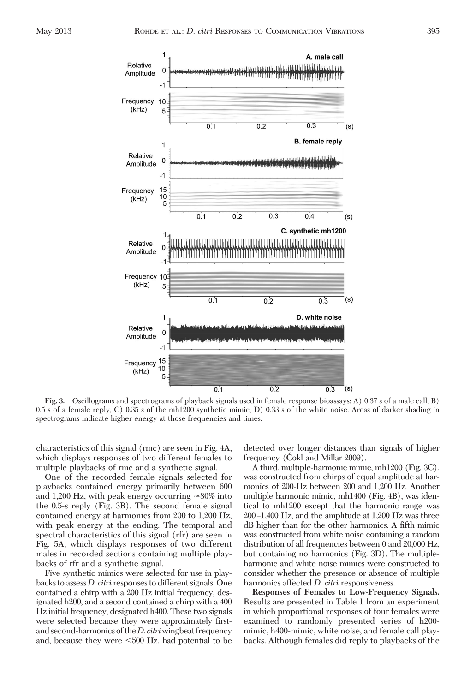

**Fig. 3.** Oscillograms and spectrograms of playback signals used in female response bioassays: A) 0.37 s of a male call, B) 0.5 s of a female reply, C) 0.35 s of the mh1200 synthetic mimic, D) 0.33 s of the white noise. Areas of darker shading in spectrograms indicate higher energy at those frequencies and times.

characteristics of this signal (rmc) are seen in Fig. 4A, which displays responses of two different females to multiple playbacks of rmc and a synthetic signal.

One of the recorded female signals selected for playbacks contained energy primarily between 600 and 1,200 Hz, with peak energy occurring  $\approx 80\%$  into the 0.5-s reply (Fig. 3B). The second female signal contained energy at harmonics from 200 to 1,200 Hz, with peak energy at the ending. The temporal and spectral characteristics of this signal (rfr) are seen in Fig. 5A, which displays responses of two different males in recorded sections containing multiple playbacks of rfr and a synthetic signal.

Five synthetic mimics were selected for use in playbacks to assess*D. citri* responses to different signals. One contained a chirp with a 200 Hz initial frequency, designated h200, and a second contained a chirp with a 400 Hz initial frequency, designated h400. These two signals were selected because they were approximately firstand second-harmonics of the*D. citri*wingbeat frequency and, because they were  $\leq 500$  Hz, had potential to be

detected over longer distances than signals of higher frequency (Cokl and Millar 2009).

A third, multiple-harmonic mimic, mh1200 (Fig. 3C), was constructed from chirps of equal amplitude at harmonics of 200-Hz between 200 and 1,200 Hz. Another multiple harmonic mimic, mh1400 (Fig. 4B), was identical to mh1200 except that the harmonic range was  $200-1,400$  Hz, and the amplitude at 1,200 Hz was three dB higher than for the other harmonics. A fifth mimic was constructed from white noise containing a random distribution of all frequencies between 0 and 20,000 Hz, but containing no harmonics (Fig. 3D). The multipleharmonic and white noise mimics were constructed to consider whether the presence or absence of multiple harmonics affected *D. citri* responsiveness.

**Responses of Females to Low-Frequency Signals.** Results are presented in Table 1 from an experiment in which proportional responses of four females were examined to randomly presented series of h200 mimic, h400-mimic, white noise, and female call playbacks. Although females did reply to playbacks of the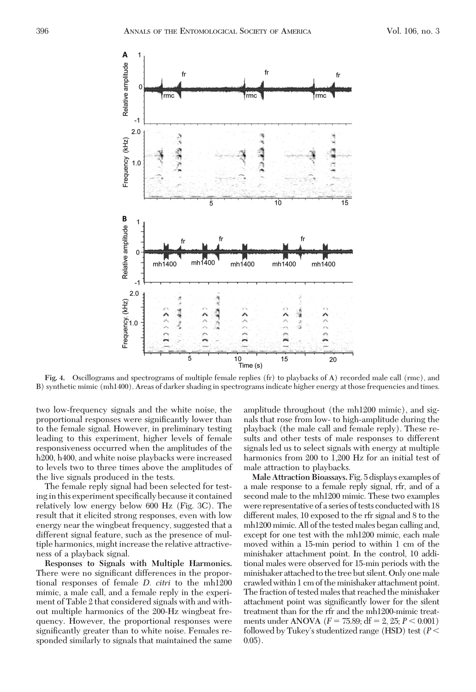

**Fig. 4.** Oscillograms and spectrograms of multiple female replies (fr) to playbacks of A) recorded male call (rmc), and B) synthetic mimic (mh1400). Areas of darker shading in spectrograms indicate higher energy at those frequencies and times.

two low-frequency signals and the white noise, the proportional responses were significantly lower than to the female signal. However, in preliminary testing leading to this experiment, higher levels of female responsiveness occurred when the amplitudes of the h200, h400, and white noise playbacks were increased to levels two to three times above the amplitudes of the live signals produced in the tests.

The female reply signal had been selected for testing in this experiment specifically because it contained relatively low energy below 600 Hz (Fig. 3C). The result that it elicited strong responses, even with low energy near the wingbeat frequency, suggested that a different signal feature, such as the presence of multiple harmonics, might increase the relative attractiveness of a playback signal.

**Responses to Signals with Multiple Harmonics.** There were no significant differences in the proportional responses of female *D. citri* to the mh1200 mimic, a male call, and a female reply in the experiment of Table 2 that considered signals with and without multiple harmonics of the 200-Hz wingbeat frequency. However, the proportional responses were significantly greater than to white noise. Females responded similarly to signals that maintained the same

amplitude throughout (the mh1200 mimic), and signals that rose from low- to high-amplitude during the playback (the male call and female reply). These results and other tests of male responses to different signals led us to select signals with energy at multiple harmonics from 200 to 1,200 Hz for an initial test of male attraction to playbacks.

**Male Attraction Bioassays.** Fig. 5 displays examples of a male response to a female reply signal, rfr, and of a second male to the mh1200 mimic. These two examples were representative of a series of tests conducted with 18 different males, 10 exposed to the rfr signal and 8 to the mh1200 mimic. All of the tested males began calling and, except for one test with the mh1200 mimic, each male moved within a 15-min period to within 1 cm of the minishaker attachment point. In the control, 10 additional males were observed for 15-min periods with the minishaker attached to the tree but silent. Only onemale crawled within 1 cm of the minishaker attachment point. The fraction of tested males that reached the minishaker attachment point was significantly lower for the silent treatment than for the rfr and the mh1200-mimic treatments under ANOVA ( $F = 75.89$ ; df = 2, 25;  $P < 0.001$ ) followed by Tukey's studentized range (HSD) test ( $P$  <  $0.05$ ).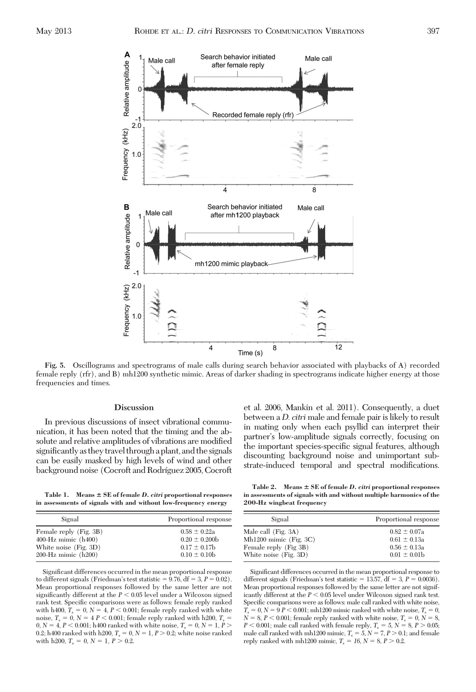

**Fig. 5.** Oscillograms and spectrograms of male calls during search behavior associated with playbacks of A) recorded female reply (rfr), and B) mh1200 synthetic mimic. Areas of darker shading in spectrograms indicate higher energy at those frequencies and times.

## **Discussion**

In previous discussions of insect vibrational communication, it has been noted that the timing and the absolute and relative amplitudes of vibrations are modified significantly as they travel through a plant, and the signals can be easily masked by high levels of wind and other background noise (Cocroft and Rodríguez 2005, Cocroft

**Table 1. Means SE of female** *D. citri* **proportional responses in assessments of signals with and without low-frequency energy**

| Signal                   | Proportional response |
|--------------------------|-----------------------|
| Female reply (Fig. 3B)   | $0.58 \pm 0.22a$      |
| $400$ -Hz mimic $(h400)$ | $0.20 \pm 0.200$      |
| White noise (Fig. 3D)    | $0.17 \pm 0.17$ b     |
| $200$ -Hz mimic $(h200)$ | $0.10 \pm 0.10$       |

Significant differences occurred in the mean proportional response to different signals (Friedman's test statistic  $= 9.76$ , df  $= 3, P = 0.02$ ). Mean proportional responses followed by the same letter are not significantly different at the  $P < 0.05$  level under a Wilcoxon signed rank test. Specific comparisons were as follows: female reply ranked with h400,  $T_s = 0$ ,  $N = 4$ ,  $P < 0.001$ ; female reply ranked with white noise,  $T_s = 0$ ,  $N = 4$   $P < 0.001$ ; female reply ranked with h200,  $T_s =$ *0, N* = 4, *P* < 0.001; h400 ranked with white noise,  $T_s = 0$ , *N* = 1, *P* > 0.2; h400 ranked with h200,  $T_s = 0$ ,  $N = 1$ ,  $P > 0.2$ ; white noise ranked with h200,  $T_s = 0$ ,  $N = 1$ ,  $P > 0.2$ .

et al. 2006, Mankin et al. 2011). Consequently, a duet between a *D. citri* male and female pair is likely to result in mating only when each psyllid can interpret their partner's low-amplitude signals correctly, focusing on the important species-specific signal features, although discounting background noise and unimportant substrate-induced temporal and spectral modifications.

**Table 2. Means SE of female** *D. citri* **proportional responses in assessments of signals with and without multiple harmonics of the 200-Hz wingbeat frequency**

| Signal                                                                                          | Proportional response                                                       |
|-------------------------------------------------------------------------------------------------|-----------------------------------------------------------------------------|
| Male call (Fig. 3A)<br>Mh1200 mimic (Fig. 3C)<br>Female reply (Fig 3B)<br>White noise (Fig. 3D) | $0.82 \pm 0.07a$<br>$0.61 \pm 0.13a$<br>$0.56 \pm 0.13a$<br>$0.01 \pm 0.01$ |

Significant differences occurred in the mean proportional response to different signals (Friedman's test statistic  $= 13.57$ , df  $= 3, P = 0.0036$ ). Mean proportional responses followed by the same letter are not significantly different at the  $P < 0.05$  level under Wilcoxon signed rank test. Specific comparisons were as follows: male call ranked with white noise,  $T_s = 0, N = 9 P < 0.001$ ; mh1200 mimic ranked with white noise,  $T_s = 0$ ,  $N = 8, P < 0.001$ ; female reply ranked with white noise,  $T_s = 0, N = 8$ , *P*  $\leq$  0.001; male call ranked with female reply, *T<sub>s</sub>* = 5, *N* = 8, *P*  $>$  0.05; male call ranked with mh1200 mimic, *T<sub>s</sub>* = 5, *N* = 7, *P*  $>$  0.1; and female reply ranked with mh1200 mimic,  $T_s = 16$ ,  $N = 8$ ,  $P > 0.2$ .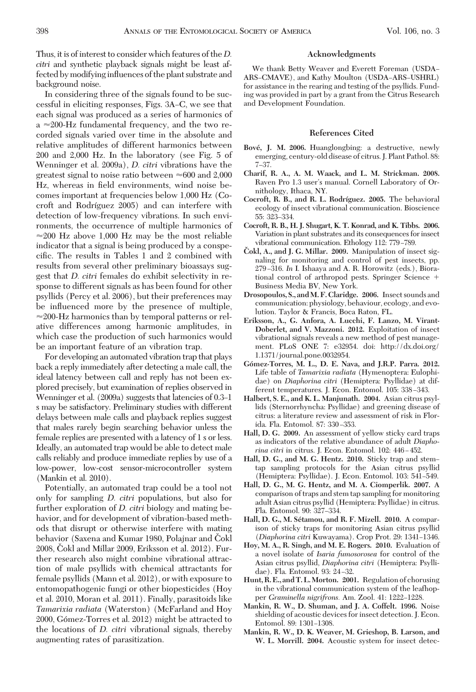Thus, it is of interest to consider which features of the *D. citri* and synthetic playback signals might be least affected by modifying influences of the plant substrate and background noise.

In considering three of the signals found to be successful in eliciting responses, Figs. 3A–C, we see that each signal was produced as a series of harmonics of a  $\approx$  200-Hz fundamental frequency, and the two recorded signals varied over time in the absolute and relative amplitudes of different harmonics between 200 and 2,000 Hz. In the laboratory (see Fig. 5 of Wenninger et al. 2009a), *D. citri* vibrations have the greatest signal to noise ratio between  $\approx 600$  and 2,000 Hz, whereas in field environments, wind noise becomes important at frequencies below 1,000 Hz (Cocroft and Rodríguez 2005) and can interfere with detection of low-frequency vibrations. In such environments, the occurrence of multiple harmonics of  $\approx$ 200 Hz above 1,000 Hz may be the most reliable indicator that a signal is being produced by a conspecific. The results in Tables 1 and 2 combined with results from several other preliminary bioassays suggest that *D. citri* females do exhibit selectivity in response to different signals as has been found for other psyllids (Percy et al. 2006), but their preferences may be inßuenced more by the presence of multiple,  $\approx$  200-Hz harmonics than by temporal patterns or relative differences among harmonic amplitudes, in which case the production of such harmonics would be an important feature of an vibration trap.

For developing an automated vibration trap that plays back a reply immediately after detecting a male call, the ideal latency between call and reply has not been explored precisely, but examination of replies observed in Wenninger et al. (2009a) suggests that latencies of 0.3–1 s may be satisfactory. Preliminary studies with different delays between male calls and playback replies suggest that males rarely begin searching behavior unless the female replies are presented with a latency of 1 s or less. Ideally, an automated trap would be able to detect male calls reliably and produce immediate replies by use of a low-power, low-cost sensor-microcontroller system (Mankin et al. 2010).

Potentially, an automated trap could be a tool not only for sampling *D. citri* populations, but also for further exploration of *D. citri* biology and mating behavior, and for development of vibration-based methods that disrupt or otherwise interfere with mating behavior (Saxena and Kumar 1980, Polajnar and Čokl 2008, Čokl and Millar 2009, Eriksson et al. 2012). Further research also might combine vibrational attraction of male psyllids with chemical attractants for female psyllids (Mann et al. 2012), or with exposure to entomopathogenic fungi or other biopesticides (Hoy et al. 2010, Moran et al. 2011). Finally, parasitoids like *Tamarixia radiata* (Waterston) (McFarland and Hoy 2000, Gómez-Torres et al. 2012) might be attracted to the locations of *D. citri* vibrational signals, thereby augmenting rates of parasitization.

#### **Acknowledgments**

We thank Betty Weaver and Everett Foreman (USDA– ARS–CMAVE), and Kathy Moulton (USDA–ARS–USHRL) for assistance in the rearing and testing of the psyllids. Funding was provided in part by a grant from the Citrus Research and Development Foundation.

#### **References Cited**

- **Bove´, J. M. 2006.** Huanglongbing: a destructive, newly emerging, century-old disease of citrus. J. Plant Pathol. 88: 7–37.
- **Charif, R. A., A. M. Waack, and L. M. Strickman. 2008.** Raven Pro 1.3 user's manual. Cornell Laboratory of Ornithology, Ithaca, NY.
- **Cocroft, R. B., and R. L. Rodrı´guez. 2005.** The behavioral ecology of insect vibrational communication. Bioscience 55: 323-334
- **Cocroft, R. B., H. J. Shugart, K. T. Konrad, and K. Tibbs. 2006.** Variation in plant substrates and its consequences for insect vibrational communication. Ethology 112: 779–789.
- **Cˇ okl, A., and J. G. Millar. 2009.** Manipulation of insect signaling for monitoring and control of pest insects, pp. 279-316. *In* I. Ishaaya and A. R. Horowitz (eds.), Biorational control of arthropod pests. Springer Science Business Media BV, New York.
- **Drosopoulos, S., andM. F. Claridge. 2006.** Insect sounds and communication: physiology, behaviour, ecology, and evolution. Taylor & Francis, Boca Raton, FL.
- **Eriksson, A., G. Anfora, A. Lucchi, F. Lanzo, M. Virant-Doberlet, and V. Mazzoni. 2012.** Exploitation of insect vibrational signals reveals a new method of pest management. PLoS ONE 7: e32954. doi: http://dx.doi.org/ 1.1371/journal.pone.0032954.
- **Go´mez-Torres, M. L., D. E. Nava, and J.R.P. Parra. 2012.** Life table of *Tamarixia radiata* (Hymenoptera: Eulophidae) on *Diaphorina citri* (Hemiptera: Psyllidae) at different temperatures. J. Econ. Entomol. 105: 338-343.
- **Halbert, S. E., and K. L. Manjunath. 2004.** Asian citrus psyllids (Sternorrhyncha: Psyllidae) and greening disease of citrus: a literature review and assessment of risk in Florida. Fla. Entomol. 87: 330-353.
- **Hall, D. G. 2009.** An assessment of yellow sticky card traps as indicators of the relative abundance of adult *Diaphorina citri* in citrus. J. Econ. Entomol. 102: 446-452.
- Hall, D. G., and M. G. Hentz. 2010. Sticky trap and stemtap sampling protocols for the Asian citrus psyllid (Hemiptera: Psyllidae). J. Econ. Entomol. 103: 541-549.
- **Hall, D. G., M. G. Hentz, and M. A. Ciomperlik. 2007.** A comparison of traps and stem tap sampling for monitoring adult Asian citrus psyllid (Hemiptera: Psyllidae) in citrus. Fla. Entomol. 90: 327-334.
- **Hall, D. G., M. Se´tamou, and R. F. Mizell. 2010.** A comparison of sticky traps for monitoring Asian citrus psyllid (Diaphorina citri Kuwayama). Crop Prot. 29: 1341-1346.
- **Hoy, M. A., R. Singh, and M. E. Rogers. 2010.** Evaluation of a novel isolate of *Isaria fumosorosea* for control of the Asian citrus psyllid, *Diaphorina citri* (Hemiptera: Psyllidae). Fla. Entomol. 93: 24-32.
- **Hunt, R.E., and T. L.Morton. 2001.** Regulation of chorusing in the vibrational communication system of the leafhopper *Graminella nigrifrons.* Am. Zool. 41: 1222-1228.
- **Mankin, R. W., D. Shuman, and J. A. Coffelt. 1996.** Noise shielding of acoustic devices for insect detection. J. Econ. Entomol. 89: 1301-1308.
- **Mankin, R. W., D. K. Weaver, M. Grieshop, B. Larson, and W. L. Morrill. 2004.** Acoustic system for insect detec-